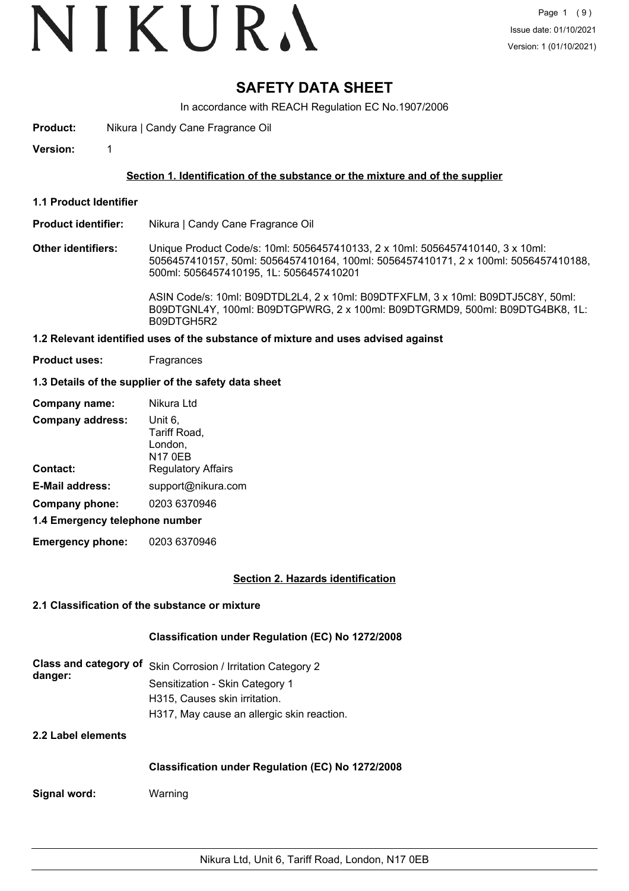### **SAFETY DATA SHEET**

In accordance with REACH Regulation EC No.1907/2006

**Product:** Nikura | Candy Cane Fragrance Oil

**Version:** 1

#### **Section 1. Identification of the substance or the mixture and of the supplier**

**1.1 Product Identifier**

#### **Product identifier:** Nikura | Candy Cane Fragrance Oil

**Other identifiers:** Unique Product Code/s: 10ml: 5056457410133, 2 x 10ml: 5056457410140, 3 x 10ml: 5056457410157, 50ml: 5056457410164, 100ml: 5056457410171, 2 x 100ml: 5056457410188, 500ml: 5056457410195, 1L: 5056457410201

> ASIN Code/s: 10ml: B09DTDL2L4, 2 x 10ml: B09DTFXFLM, 3 x 10ml: B09DTJ5C8Y, 50ml: B09DTGNL4Y, 100ml: B09DTGPWRG, 2 x 100ml: B09DTGRMD9, 500ml: B09DTG4BK8, 1L: B09DTGH5R2

#### **1.2 Relevant identified uses of the substance of mixture and uses advised against**

**Product uses:** Fragrances

#### **1.3 Details of the supplier of the safety data sheet**

| Company name:                  | Nikura Ltd                                           |
|--------------------------------|------------------------------------------------------|
| <b>Company address:</b>        | Unit 6,<br>Tariff Road,<br>London,<br><b>N17 0EB</b> |
| Contact:                       | <b>Regulatory Affairs</b>                            |
| <b>E-Mail address:</b>         | support@nikura.com                                   |
| Company phone:                 | 0203 6370946                                         |
| 1.4 Emergency telephone number |                                                      |

**Emergency phone:** 0203 6370946

#### **Section 2. Hazards identification**

#### **2.1 Classification of the substance or mixture**

#### **Classification under Regulation (EC) No 1272/2008**

|         | Class and category of Skin Corrosion / Irritation Category 2 |
|---------|--------------------------------------------------------------|
| danger: | Sensitization - Skin Category 1                              |
|         | H315. Causes skin irritation.                                |
|         | H317, May cause an allergic skin reaction.                   |

**2.2 Label elements**

#### **Classification under Regulation (EC) No 1272/2008**

**Signal word:** Warning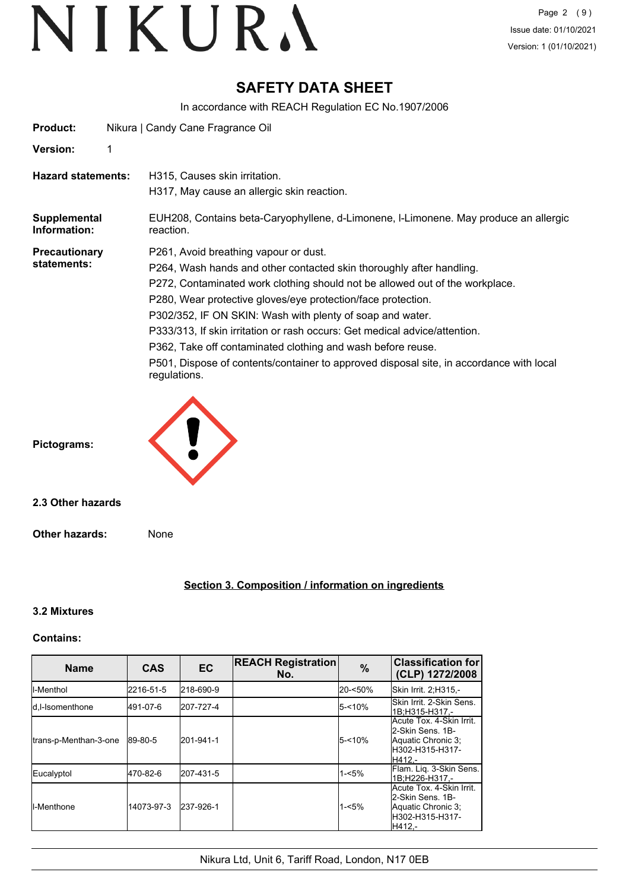### **SAFETY DATA SHEET**

In accordance with REACH Regulation EC No.1907/2006

| Product:                            |   | Nikura   Candy Cane Fragrance Oil                                                                                                                                                                                                                                                                                                                                                                                                                                                                                                                                                  |
|-------------------------------------|---|------------------------------------------------------------------------------------------------------------------------------------------------------------------------------------------------------------------------------------------------------------------------------------------------------------------------------------------------------------------------------------------------------------------------------------------------------------------------------------------------------------------------------------------------------------------------------------|
| <b>Version:</b>                     | 1 |                                                                                                                                                                                                                                                                                                                                                                                                                                                                                                                                                                                    |
| <b>Hazard statements:</b>           |   | H315, Causes skin irritation.<br>H317, May cause an allergic skin reaction.                                                                                                                                                                                                                                                                                                                                                                                                                                                                                                        |
| Supplemental<br>Information:        |   | EUH208, Contains beta-Caryophyllene, d-Limonene, I-Limonene. May produce an allergic<br>reaction.                                                                                                                                                                                                                                                                                                                                                                                                                                                                                  |
| <b>Precautionary</b><br>statements: |   | P261, Avoid breathing vapour or dust.<br>P264, Wash hands and other contacted skin thoroughly after handling.<br>P272, Contaminated work clothing should not be allowed out of the workplace.<br>P280, Wear protective gloves/eye protection/face protection.<br>P302/352, IF ON SKIN: Wash with plenty of soap and water.<br>P333/313, If skin irritation or rash occurs: Get medical advice/attention.<br>P362, Take off contaminated clothing and wash before reuse.<br>P501, Dispose of contents/container to approved disposal site, in accordance with local<br>regulations. |
| Pictograms:                         |   |                                                                                                                                                                                                                                                                                                                                                                                                                                                                                                                                                                                    |
| 2.3 Other hazards                   |   |                                                                                                                                                                                                                                                                                                                                                                                                                                                                                                                                                                                    |
| Other hazards:                      |   | None                                                                                                                                                                                                                                                                                                                                                                                                                                                                                                                                                                               |
|                                     |   |                                                                                                                                                                                                                                                                                                                                                                                                                                                                                                                                                                                    |

#### **Section 3. Composition / information on ingredients**

#### **3.2 Mixtures**

#### **Contains:**

| <b>Name</b>           | <b>CAS</b> | <b>EC</b> | <b>REACH Registration</b><br>No. | $\frac{9}{6}$ | <b>Classification for</b><br>(CLP) 1272/2008                                                     |
|-----------------------|------------|-----------|----------------------------------|---------------|--------------------------------------------------------------------------------------------------|
| <b>I</b> I-Menthol    | 2216-51-5  | 218-690-9 |                                  | 20-<50%       | Skin Irrit. 2:H315.-                                                                             |
| Id.I-Isomenthone      | 491-07-6   | 207-727-4 |                                  | $5 - 10%$     | lSkin Irrit, 2-Skin Sens.<br>1B:H315-H317.-                                                      |
| trans-p-Menthan-3-one | 89-80-5    | 201-941-1 |                                  | $5 - 10%$     | Acute Tox. 4-Skin Irrit.<br>l2-Skin Sens. 1B-<br>Aquatic Chronic 3;<br>H302-H315-H317-<br>H412.- |
| Eucalyptol            | 470-82-6   | 207-431-5 |                                  | $1 - 5%$      | Flam. Lig. 3-Skin Sens.<br>1B:H226-H317,-                                                        |
| <b>I</b> I-Menthone   | 14073-97-3 | 237-926-1 |                                  | $1 - 5%$      | Acute Tox. 4-Skin Irrit.<br>l2-Skin Sens. 1B-<br>Aquatic Chronic 3;<br>H302-H315-H317-<br>H412.- |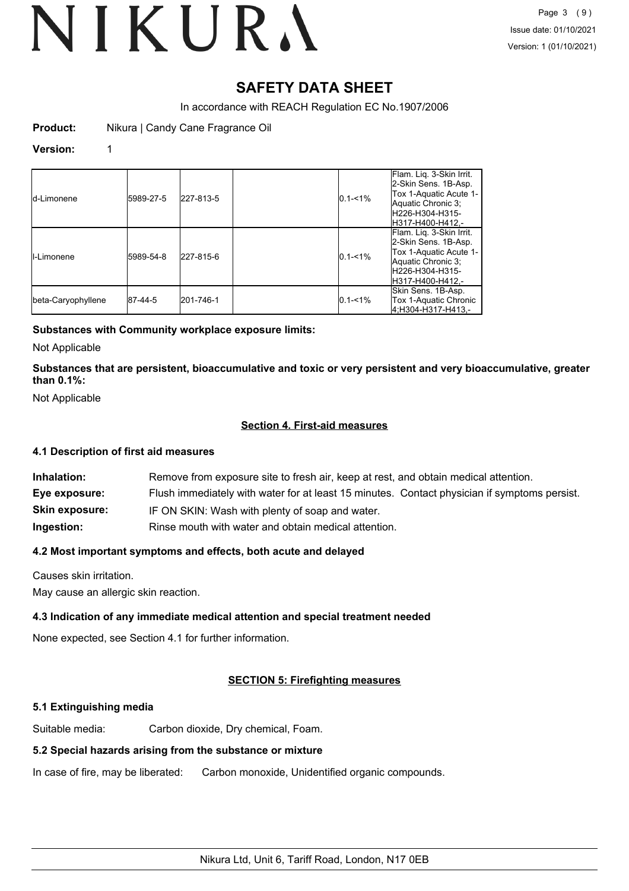### **SAFETY DATA SHEET**

In accordance with REACH Regulation EC No.1907/2006

**Product:** Nikura | Candy Cane Fragrance Oil

#### **Version:** 1

| <b>I</b> d-Limonene | 5989-27-5 | 227-813-5 | $0.1 - 1\%$ | Flam. Liq. 3-Skin Irrit.<br>2-Skin Sens. 1B-Asp.<br>Tox 1-Aquatic Acute 1-<br>Aquatic Chronic 3:<br>lH226-H304-H315-<br>H317-H400-H412.- |
|---------------------|-----------|-----------|-------------|------------------------------------------------------------------------------------------------------------------------------------------|
| II-Limonene         | 5989-54-8 | 227-815-6 | $0.1 - 1\%$ | Flam. Lig. 3-Skin Irrit.<br>2-Skin Sens. 1B-Asp.<br>Tox 1-Aquatic Acute 1-<br>Aquatic Chronic 3;<br>lH226-H304-H315-<br>H317-H400-H412.- |
| beta-Caryophyllene  | 87-44-5   | 201-746-1 | $0.1 - 1\%$ | Skin Sens. 1B-Asp.<br>Tox 1-Aquatic Chronic<br>4:H304-H317-H413.-                                                                        |

#### **Substances with Community workplace exposure limits:**

Not Applicable

**Substances that are persistent, bioaccumulative and toxic or very persistent and very bioaccumulative, greater than 0.1%:**

Not Applicable

#### **Section 4. First-aid measures**

#### **4.1 Description of first aid measures**

| Inhalation:           | Remove from exposure site to fresh air, keep at rest, and obtain medical attention.          |  |  |
|-----------------------|----------------------------------------------------------------------------------------------|--|--|
| Eye exposure:         | Flush immediately with water for at least 15 minutes. Contact physician if symptoms persist. |  |  |
| <b>Skin exposure:</b> | IF ON SKIN: Wash with plenty of soap and water.                                              |  |  |
| Ingestion:            | Rinse mouth with water and obtain medical attention.                                         |  |  |

#### **4.2 Most important symptoms and effects, both acute and delayed**

Causes skin irritation.

May cause an allergic skin reaction.

#### **4.3 Indication of any immediate medical attention and special treatment needed**

None expected, see Section 4.1 for further information.

#### **SECTION 5: Firefighting measures**

#### **5.1 Extinguishing media**

Suitable media: Carbon dioxide, Dry chemical, Foam.

### **5.2 Special hazards arising from the substance or mixture**

In case of fire, may be liberated: Carbon monoxide, Unidentified organic compounds.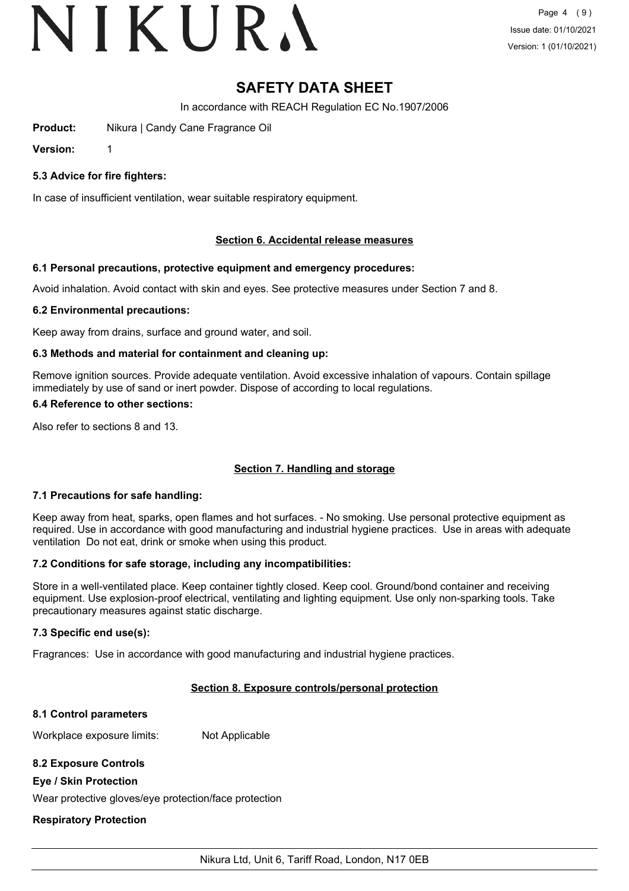### **SAFETY DATA SHEET**

In accordance with REACH Regulation EC No.1907/2006

**Product:** Nikura | Candy Cane Fragrance Oil

**Version:** 1

#### **5.3 Advice for fire fighters:**

In case of insufficient ventilation, wear suitable respiratory equipment.

#### **Section 6. Accidental release measures**

#### **6.1 Personal precautions, protective equipment and emergency procedures:**

Avoid inhalation. Avoid contact with skin and eyes. See protective measures under Section 7 and 8.

#### **6.2 Environmental precautions:**

Keep away from drains, surface and ground water, and soil.

#### **6.3 Methods and material for containment and cleaning up:**

Remove ignition sources. Provide adequate ventilation. Avoid excessive inhalation of vapours. Contain spillage immediately by use of sand or inert powder. Dispose of according to local regulations.

#### **6.4 Reference to other sections:**

Also refer to sections 8 and 13.

#### **Section 7. Handling and storage**

#### **7.1 Precautions for safe handling:**

Keep away from heat, sparks, open flames and hot surfaces. - No smoking. Use personal protective equipment as required. Use in accordance with good manufacturing and industrial hygiene practices. Use in areas with adequate ventilation Do not eat, drink or smoke when using this product.

#### **7.2 Conditions for safe storage, including any incompatibilities:**

Store in a well-ventilated place. Keep container tightly closed. Keep cool. Ground/bond container and receiving equipment. Use explosion-proof electrical, ventilating and lighting equipment. Use only non-sparking tools. Take precautionary measures against static discharge.

#### **7.3 Specific end use(s):**

Fragrances: Use in accordance with good manufacturing and industrial hygiene practices.

#### **Section 8. Exposure controls/personal protection**

#### **8.1 Control parameters**

Workplace exposure limits: Not Applicable

#### **8.2 Exposure Controls**

#### **Eye / Skin Protection**

Wear protective gloves/eye protection/face protection

#### **Respiratory Protection**

Nikura Ltd, Unit 6, Tariff Road, London, N17 0EB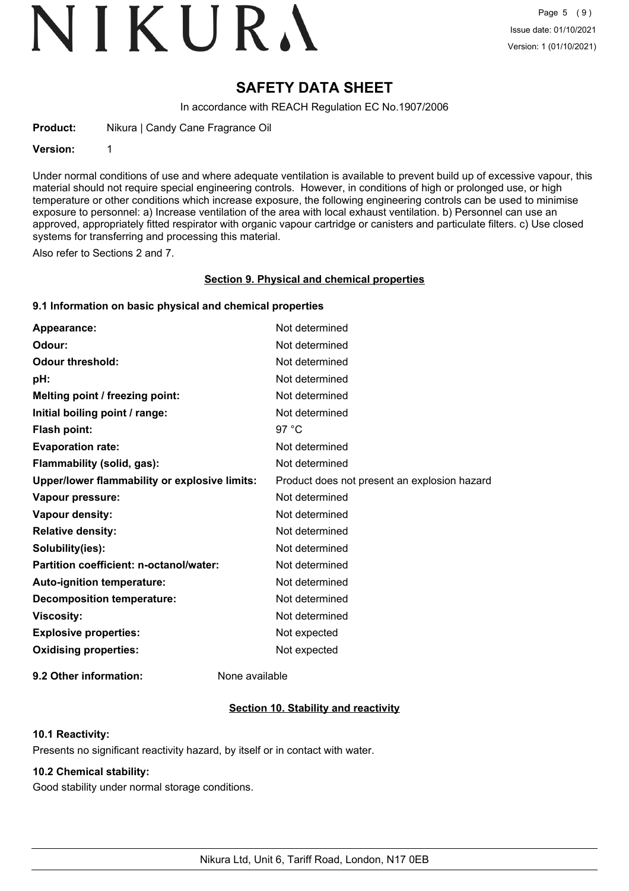## **SAFETY DATA SHEET**

In accordance with REACH Regulation EC No.1907/2006

**Product:** Nikura | Candy Cane Fragrance Oil

**Version:** 1

Under normal conditions of use and where adequate ventilation is available to prevent build up of excessive vapour, this material should not require special engineering controls. However, in conditions of high or prolonged use, or high temperature or other conditions which increase exposure, the following engineering controls can be used to minimise exposure to personnel: a) Increase ventilation of the area with local exhaust ventilation. b) Personnel can use an approved, appropriately fitted respirator with organic vapour cartridge or canisters and particulate filters. c) Use closed systems for transferring and processing this material.

Also refer to Sections 2 and 7.

#### **Section 9. Physical and chemical properties**

#### **9.1 Information on basic physical and chemical properties**

| Appearance:                                   | Not determined                               |
|-----------------------------------------------|----------------------------------------------|
| Odour:                                        | Not determined                               |
| <b>Odour threshold:</b>                       | Not determined                               |
| pH:                                           | Not determined                               |
| Melting point / freezing point:               | Not determined                               |
| Initial boiling point / range:                | Not determined                               |
| Flash point:                                  | 97 $^{\circ}$ C                              |
| <b>Evaporation rate:</b>                      | Not determined                               |
| Flammability (solid, gas):                    | Not determined                               |
| Upper/lower flammability or explosive limits: | Product does not present an explosion hazard |
| Vapour pressure:                              | Not determined                               |
| Vapour density:                               | Not determined                               |
| <b>Relative density:</b>                      | Not determined                               |
| Solubility(ies):                              | Not determined                               |
| Partition coefficient: n-octanol/water:       | Not determined                               |
| Auto-ignition temperature:                    | Not determined                               |
| <b>Decomposition temperature:</b>             | Not determined                               |
| <b>Viscosity:</b>                             | Not determined                               |
| <b>Explosive properties:</b>                  | Not expected                                 |
| <b>Oxidising properties:</b>                  | Not expected                                 |
|                                               |                                              |

**9.2 Other information:** None available

#### **Section 10. Stability and reactivity**

#### **10.1 Reactivity:**

Presents no significant reactivity hazard, by itself or in contact with water.

### **10.2 Chemical stability:**

Good stability under normal storage conditions.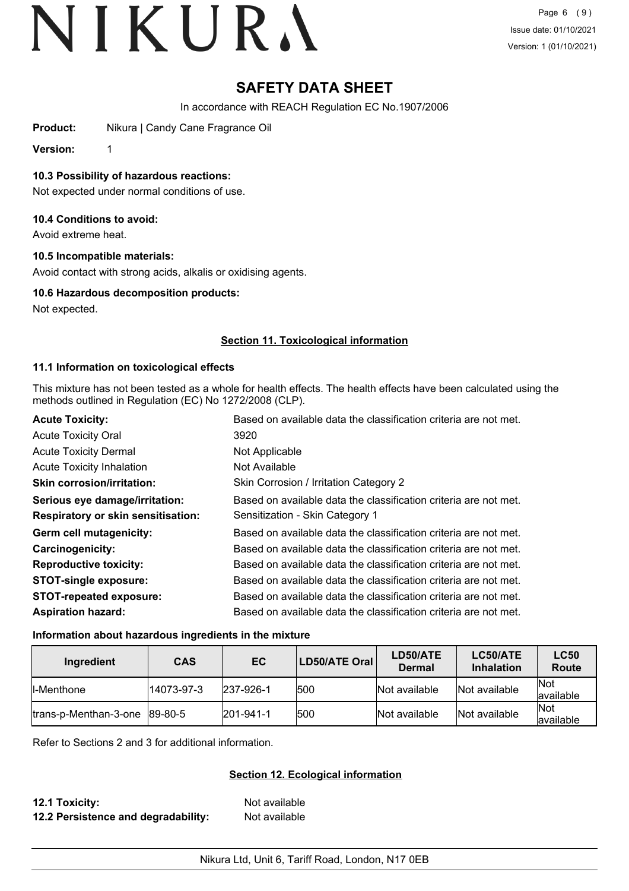## **SAFETY DATA SHEET**

In accordance with REACH Regulation EC No.1907/2006

**Product:** Nikura | Candy Cane Fragrance Oil

**Version:** 1

**10.3 Possibility of hazardous reactions:**

Not expected under normal conditions of use.

#### **10.4 Conditions to avoid:**

Avoid extreme heat.

#### **10.5 Incompatible materials:**

Avoid contact with strong acids, alkalis or oxidising agents.

#### **10.6 Hazardous decomposition products:**

Not expected.

#### **Section 11. Toxicological information**

#### **11.1 Information on toxicological effects**

This mixture has not been tested as a whole for health effects. The health effects have been calculated using the methods outlined in Regulation (EC) No 1272/2008 (CLP).

| <b>Acute Toxicity:</b>                    | Based on available data the classification criteria are not met. |
|-------------------------------------------|------------------------------------------------------------------|
| <b>Acute Toxicity Oral</b>                | 3920                                                             |
| <b>Acute Toxicity Dermal</b>              | Not Applicable                                                   |
| <b>Acute Toxicity Inhalation</b>          | Not Available                                                    |
| <b>Skin corrosion/irritation:</b>         | Skin Corrosion / Irritation Category 2                           |
| Serious eye damage/irritation:            | Based on available data the classification criteria are not met. |
| <b>Respiratory or skin sensitisation:</b> | Sensitization - Skin Category 1                                  |
| Germ cell mutagenicity:                   | Based on available data the classification criteria are not met. |
| <b>Carcinogenicity:</b>                   | Based on available data the classification criteria are not met. |
| <b>Reproductive toxicity:</b>             | Based on available data the classification criteria are not met. |
| <b>STOT-single exposure:</b>              | Based on available data the classification criteria are not met. |
| <b>STOT-repeated exposure:</b>            | Based on available data the classification criteria are not met. |
| <b>Aspiration hazard:</b>                 | Based on available data the classification criteria are not met. |

#### **Information about hazardous ingredients in the mixture**

| Ingredient                                  | <b>CAS</b> | EC        | LD50/ATE Oral | LD50/ATE<br>Dermal | LC50/ATE<br><b>Inhalation</b> | <b>LC50</b><br>Route      |
|---------------------------------------------|------------|-----------|---------------|--------------------|-------------------------------|---------------------------|
| ll-Menthone                                 | 14073-97-3 | 237-926-1 | 1500          | Not available      | Not available                 | <b>Not</b><br>lavailable  |
| $\frac{1}{2}$ trans-p-Menthan-3-one 89-80-5 |            | 201-941-1 | 500           | Not available      | Not available                 | <b>INot</b><br>lavailable |

Refer to Sections 2 and 3 for additional information.

#### **Section 12. Ecological information**

**12.1 Toxicity:** Not available **12.2 Persistence and degradability:** Not available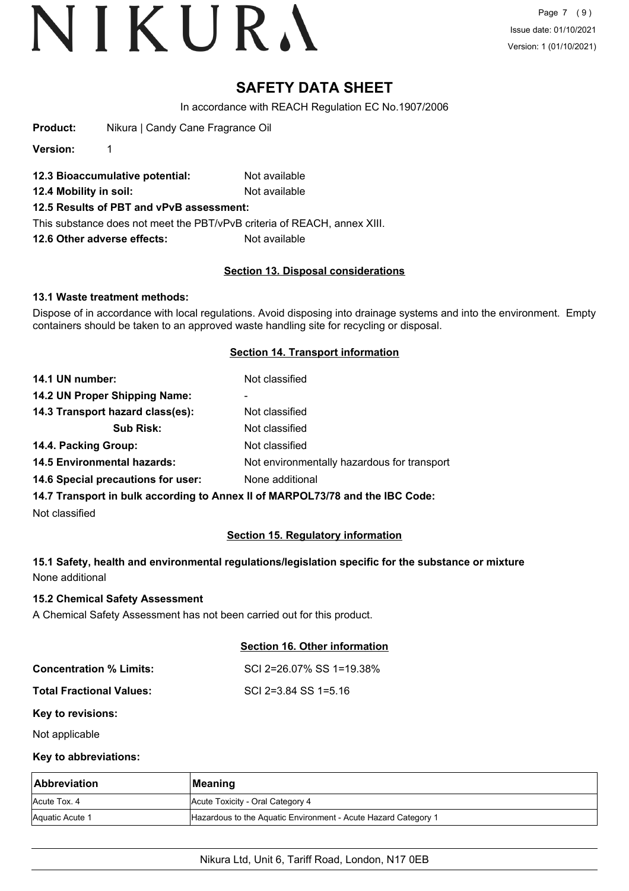Page 7 (9) Issue date: 01/10/2021 Version: 1 (01/10/2021)

### **SAFETY DATA SHEET**

In accordance with REACH Regulation EC No.1907/2006

**Product:** Nikura | Candy Cane Fragrance Oil

**Version:** 1

- **12.3 Bioaccumulative potential:** Not available
- **12.4 Mobility in soil:** Not available
- **12.5 Results of PBT and vPvB assessment:**

This substance does not meet the PBT/vPvB criteria of REACH, annex XIII.

**12.6 Other adverse effects:** Not available

#### **Section 13. Disposal considerations**

#### **13.1 Waste treatment methods:**

Dispose of in accordance with local regulations. Avoid disposing into drainage systems and into the environment. Empty containers should be taken to an approved waste handling site for recycling or disposal.

#### **Section 14. Transport information**

| 14.1 UN number:                                                                | Not classified                              |
|--------------------------------------------------------------------------------|---------------------------------------------|
| 14.2 UN Proper Shipping Name:                                                  | ۰                                           |
| 14.3 Transport hazard class(es):                                               | Not classified                              |
| <b>Sub Risk:</b>                                                               | Not classified                              |
| 14.4. Packing Group:                                                           | Not classified                              |
| <b>14.5 Environmental hazards:</b>                                             | Not environmentally hazardous for transport |
| 14.6 Special precautions for user:                                             | None additional                             |
| 14.7 Transport in bulk according to Anney II of MARPOL 73/78 and the IRC Code: |                                             |

**14.7 Transport in bulk according to Annex II of MARPOL73/78 and the IBC Code:**

Not classified

#### **Section 15. Regulatory information**

#### **15.1 Safety, health and environmental regulations/legislation specific for the substance or mixture** None additional

#### **15.2 Chemical Safety Assessment**

A Chemical Safety Assessment has not been carried out for this product.

#### **Section 16. Other information**

| <b>Concentration % Limits:</b> | SCI 2=26.07% SS 1=19.38% |
|--------------------------------|--------------------------|
| Total Fractional Values:       | SCI 2=3.84 SS 1=5.16     |

#### **Key to revisions:**

Not applicable

#### **Key to abbreviations:**

| <b>Abbreviation</b> | <b>Meaning</b>                                                 |
|---------------------|----------------------------------------------------------------|
| Acute Tox, 4        | Acute Toxicity - Oral Category 4                               |
| Aquatic Acute 1     | Hazardous to the Aquatic Environment - Acute Hazard Category 1 |

#### Nikura Ltd, Unit 6, Tariff Road, London, N17 0EB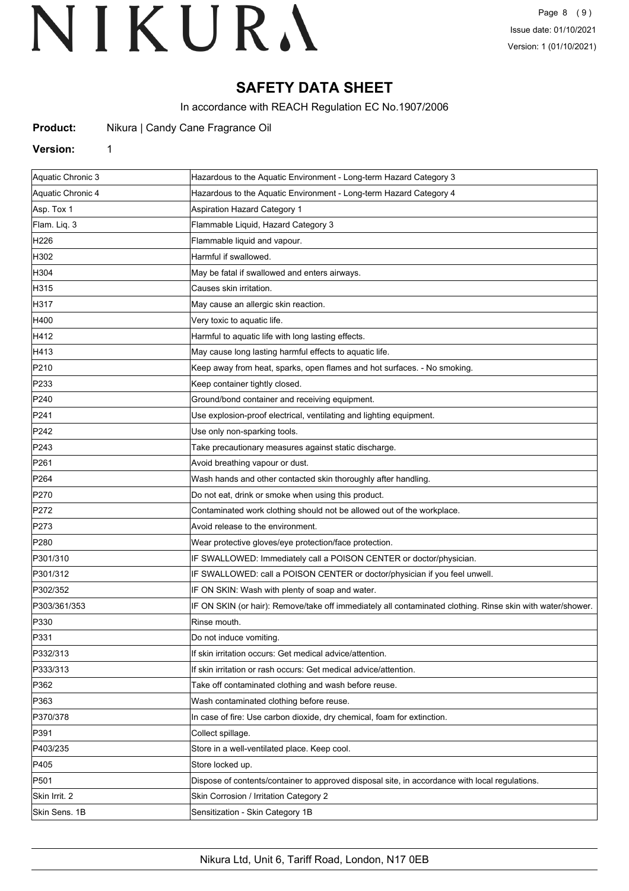## **SAFETY DATA SHEET**

In accordance with REACH Regulation EC No.1907/2006

**Product:** Nikura | Candy Cane Fragrance Oil

#### **Version:** 1

| Aquatic Chronic 3 | Hazardous to the Aquatic Environment - Long-term Hazard Category 3                                         |
|-------------------|------------------------------------------------------------------------------------------------------------|
| Aquatic Chronic 4 | Hazardous to the Aquatic Environment - Long-term Hazard Category 4                                         |
| Asp. Tox 1        | <b>Aspiration Hazard Category 1</b>                                                                        |
| Flam. Liq. 3      | Flammable Liquid, Hazard Category 3                                                                        |
| H226              | Flammable liquid and vapour.                                                                               |
| H302              | Harmful if swallowed.                                                                                      |
| H304              | May be fatal if swallowed and enters airways.                                                              |
| H315              | Causes skin irritation.                                                                                    |
| H317              | May cause an allergic skin reaction.                                                                       |
| H400              | Very toxic to aquatic life.                                                                                |
| H412              | Harmful to aquatic life with long lasting effects.                                                         |
| H413              | May cause long lasting harmful effects to aquatic life.                                                    |
| P210              | Keep away from heat, sparks, open flames and hot surfaces. - No smoking.                                   |
| P233              | Keep container tightly closed.                                                                             |
| P240              | Ground/bond container and receiving equipment.                                                             |
| P241              | Use explosion-proof electrical, ventilating and lighting equipment.                                        |
| P <sub>242</sub>  | Use only non-sparking tools.                                                                               |
| P243              | Take precautionary measures against static discharge.                                                      |
| P261              | Avoid breathing vapour or dust.                                                                            |
| P <sub>264</sub>  | Wash hands and other contacted skin thoroughly after handling.                                             |
| P270              | Do not eat, drink or smoke when using this product.                                                        |
| P272              | Contaminated work clothing should not be allowed out of the workplace.                                     |
| P273              | Avoid release to the environment.                                                                          |
| P <sub>280</sub>  | Wear protective gloves/eye protection/face protection.                                                     |
| P301/310          | IF SWALLOWED: Immediately call a POISON CENTER or doctor/physician.                                        |
| P301/312          | IF SWALLOWED: call a POISON CENTER or doctor/physician if you feel unwell.                                 |
| P302/352          | IF ON SKIN: Wash with plenty of soap and water.                                                            |
| P303/361/353      | IF ON SKIN (or hair): Remove/take off immediately all contaminated clothing. Rinse skin with water/shower. |
| P330              | Rinse mouth.                                                                                               |
| P331              | Do not induce vomiting.                                                                                    |
| P332/313          | If skin irritation occurs: Get medical advice/attention.                                                   |
| P333/313          | If skin irritation or rash occurs: Get medical advice/attention.                                           |
| P362              | Take off contaminated clothing and wash before reuse.                                                      |
| P363              | Wash contaminated clothing before reuse.                                                                   |
| P370/378          | In case of fire: Use carbon dioxide, dry chemical, foam for extinction.                                    |
| P391              | Collect spillage.                                                                                          |
| P403/235          | Store in a well-ventilated place. Keep cool.                                                               |
| P405              | Store locked up.                                                                                           |
| P501              | Dispose of contents/container to approved disposal site, in accordance with local regulations.             |
| Skin Irrit. 2     | Skin Corrosion / Irritation Category 2                                                                     |
| Skin Sens. 1B     | Sensitization - Skin Category 1B                                                                           |